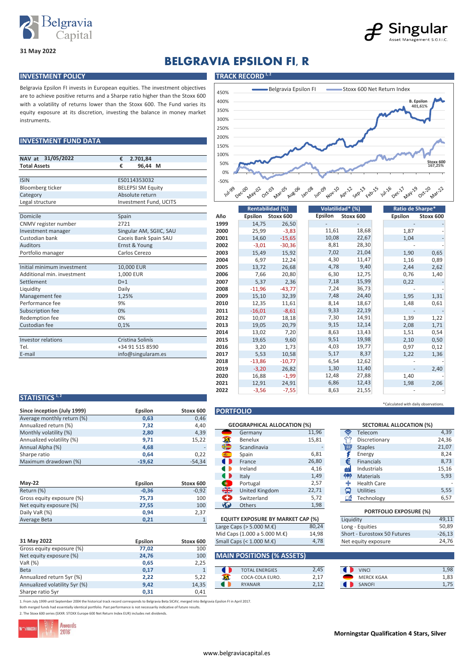



# **BELGRAVIA EPSILON FI, R**

#### **INVESTMENT POLICY TRACK RECORD**<sup>1,2</sup>

**31 May 2022**

Belgravia Epsilon FI invests in European equities. The investment objectives are to achieve positive returns and a Sharpe ratio higher than the Stoxx 600 with a volatility of returns lower than the Stoxx 600. The Fund varies its equity exposure at its discretion, investing the balance in money market instruments.

#### **INVESTMENT FUND DATA**

| NAV at 31/05/2022          | €<br>2.701,84            |
|----------------------------|--------------------------|
| <b>Total Assets</b>        | €<br>96,44 M             |
|                            |                          |
| <b>ISIN</b>                | ES0114353032             |
| <b>Bloomberg ticker</b>    | <b>BELEPSI SM Equity</b> |
| Category                   | Absolute return          |
| Legal structure            | Investment Fund, UCITS   |
|                            |                          |
| Domicile                   | Spain                    |
| CNMV register number       | 2721                     |
| Investment manager         | Singular AM, SGIIC, SAU  |
| Custodian bank             | Caceis Bank Spain SAU    |
| <b>Auditors</b>            | Ernst & Young            |
| Portfolio manager          | Carlos Cerezo            |
|                            |                          |
| Initial minimum investment | 10,000 EUR               |
| Additional min. investment | 1.000 EUR                |
| Settlement                 | $D+1$                    |
| Liquidity                  | Daily                    |
| Management fee             | 1,25%                    |
| Performance fee            | 9%                       |
| Subscription fee           | 0%                       |
| Redemption fee             | 0%                       |
| Custodian fee              | 0,1%                     |
|                            |                          |
| Investor relations         | Cristina Solinís         |
| Tel.                       | +34 91 515 8590          |
| E-mail                     | info@singularam.es       |

| 450%                                | Belgravia Epsilon FI<br>Stoxx 600 Net Return Index                                                                                                                                 |
|-------------------------------------|------------------------------------------------------------------------------------------------------------------------------------------------------------------------------------|
| 400%                                | <b>B.</b> Epsilon                                                                                                                                                                  |
| 350%                                | 401,61%                                                                                                                                                                            |
| 300%                                |                                                                                                                                                                                    |
| 250%                                |                                                                                                                                                                                    |
| 200%                                |                                                                                                                                                                                    |
| 150%                                |                                                                                                                                                                                    |
| 100%                                |                                                                                                                                                                                    |
| 50%                                 | Stoxx 600<br>167,25%                                                                                                                                                               |
| 0%                                  |                                                                                                                                                                                    |
| $-50%$                              |                                                                                                                                                                                    |
| <b>Jul</b> 99<br>Dec <sub>coo</sub> | Jan-08<br>Aug.06<br>1un.09 Nov.10<br>Mar.05<br><b>01/24-29</b><br>Jul-26<br>nec-17<br><b>May</b> O2<br>Oct.03<br>Feb-15<br>Mar-22<br>Sep-13<br>Apr. 12<br>$o^{c}$ $\lambda^{\vee}$ |

|                            | <b>Rentabilidad (%)</b> |      |          | Volatilidad* (%) |         |           | Ratio de Sharpe* |           |
|----------------------------|-------------------------|------|----------|------------------|---------|-----------|------------------|-----------|
| Domicile                   | Spain                   | Año  | Epsilon  | Stoxx 600        | Epsilon | Stoxx 600 | <b>Epsilon</b>   | Stoxx 600 |
| CNMV register number       | 2721                    | 1999 | 14,75    | 26,50            |         |           |                  |           |
| Investment manager         | Singular AM, SGIIC, SAU | 2000 | 25,99    | $-3,83$          | 11,61   | 18,68     | 1,87             |           |
| Custodian bank             | Caceis Bank Spain SAU   | 2001 | 14,60    | $-15,65$         | 10,08   | 22,67     | 1,04             |           |
| <b>Auditors</b>            | Ernst & Young           | 2002 | $-3,01$  | $-30,36$         | 8,81    | 28,30     |                  |           |
| Portfolio manager          | Carlos Cerezo           | 2003 | 15,49    | 15,92            | 7,02    | 21,04     | 1,90             | 0,65      |
|                            |                         | 2004 | 6,97     | 12,24            | 4,30    | 11,47     | 1,16             | 0,89      |
| Initial minimum investment | 10,000 EUR              | 2005 | 13,72    | 26,68            | 4,78    | 9,40      | 2,44             | 2,62      |
| Additional min. investment | 1,000 EUR               | 2006 | 7,66     | 20,80            | 6,30    | 12,75     | 0,76             | 1,40      |
| Settlement                 | $D+1$                   | 2007 | 5,37     | 2,36             | 7,18    | 15,99     | 0,22             |           |
| Liquidity                  | Daily                   | 2008 | $-11,96$ | $-43,77$         | 7,24    | 36,73     |                  |           |
| Management fee             | 1,25%                   | 2009 | 15,10    | 32,39            | 7,48    | 24,40     | 1,95             | 1,31      |
| Performance fee            | 9%                      | 2010 | 12,35    | 11,61            | 8,14    | 18,67     | 1,48             | 0,61      |
| Subscription fee           | 0%                      | 2011 | $-16,01$ | $-8,61$          | 9,33    | 22,19     |                  |           |
| Redemption fee             | 0%                      | 2012 | 10,07    | 18,18            | 7,30    | 14,91     | 1,39             | 1,22      |
| Custodian fee              | 0,1%                    | 2013 | 19,05    | 20,79            | 9,15    | 12,14     | 2,08             | 1,71      |
|                            |                         | 2014 | 13,02    | 7,20             | 8,63    | 13,43     | 1,51             | 0,54      |
| Investor relations         | Cristina Solinís        | 2015 | 19,65    | 9,60             | 9,51    | 19,98     | 2,10             | 0,50      |
| Tel.                       | +34 91 515 8590         | 2016 | 3,20     | 1,73             | 4,03    | 19,77     | 0,97             | 0,12      |
| E-mail                     | info@singularam.es      | 2017 | 5,53     | 10,58            | 5,17    | 8,37      | 1,22             | 1,36      |
|                            |                         | 2018 | $-13,86$ | $-10,77$         | 6,54    | 12,62     |                  |           |
|                            |                         | 2019 | $-3,20$  | 26,82            | 1,30    | 11,40     |                  | 2,40      |
|                            |                         | 2020 | 16,88    | $-1,99$          | 12,48   | 27,88     | 1,40             |           |
|                            |                         | 2021 | 12,91    | 24,91            | 6,86    | 12,43     | 1,98             | 2,06      |
|                            |                         | 2022 | $-3,56$  | $-7,55$          | 8,63    | 21,55     |                  |           |

#### **STATISTICS 1, 2**

| Since inception (July 1999) | Epsilon  | Stoxx 600 | <b>PORTFOLIO</b>                   |       |     |                  |
|-----------------------------|----------|-----------|------------------------------------|-------|-----|------------------|
| Average monthly return (%)  | 0,63     | 0,46      |                                    |       |     |                  |
| Annualized return (%)       | 7,32     | 4,40      | <b>GEOGRAPHICAL ALLOCATION (%)</b> |       |     | <b>SECTORIAL</b> |
| Monthly volatility (%)      | 2,80     | 4,39      | Germany                            | 11,96 | ຣ   | Telecom          |
| Annualized volatility (%)   | 9,71     | 15.22     | Benelux                            | 15,81 | برم | Discretionary    |
| Annual Alpha (%)            | 4,68     |           | 40<br>Scandinavia                  |       | 画   | <b>Staples</b>   |
| Sharpe ratio                | 0.64     | 0.22      | Spain<br><b>SREE</b>               | 6,81  |     | Energy           |
| Maximum drawdown (%)        | $-19,62$ | $-54.34$  | France                             | 26,80 |     | Financials       |

|                           |         |           |    | πιαιν                                    | ᅩ, ┭ フ | ш         | <b>IVIQLEIIQIS</b>            | ر ر ر |
|---------------------------|---------|-----------|----|------------------------------------------|--------|-----------|-------------------------------|-------|
| <b>Mav-22</b>             | Epsilon | Stoxx 600 |    | Portugal                                 | 2,57   |           | <b>Health Care</b>            |       |
| Return (%)                | $-0,36$ | $-0,92$   | ₩  | United Kingdom                           | 22,71  | ه         | <b>Utilities</b>              | 5,55  |
| Gross equity exposure (%) | 75,73   | 100       | ÷  | Switzerland                              | 5,72   | TM.       | Technology                    | 6,57  |
| Net equity exposure (%)   | 27,55   | 100       | K. | <b>Others</b>                            | 1,98   |           |                               |       |
| Daily VaR (%)             | 0,94    | 2,37      |    |                                          |        |           | <b>PORTFOLIO EXPOSURE (%)</b> |       |
| Average Beta              | 0,21    |           |    | <b>EQUITY EXPOSURE BY MARKET CAP (%)</b> |        | Liquidity |                               | 49,11 |

|                               |                |           |           |                                  | $\sim$ $-$ |                    |
|-------------------------------|----------------|-----------|-----------|----------------------------------|------------|--------------------|
| 31 May 2022                   | <b>Epsilon</b> | Stoxx 600 |           | Small Caps (< $1.000 M.E$ )      | 4,78       | Net equity exposur |
| Gross equity exposure (%)     | 77,02          | 100       |           |                                  |            |                    |
| Net equity exposure (%)       | 24,76          | 100       |           | <b>MAIN POSITIONS (% ASSETS)</b> |            |                    |
| VaR(%)                        | 0,65           | 2,25      |           |                                  |            |                    |
| <b>Beta</b>                   | 0,17           |           |           | <b>TOTAL ENERGIES</b>            | 2,45       | <b>VINCI</b>       |
| Annualized return 5yr (%)     | 2,22           | 5,22      | Ж         | COCA-COLA EURO.                  | 2.17       | <b>MERCK KGAA</b>  |
| Annualized volatility 5yr (%) | 9,42           | 14,35     | $\bullet$ | <b>RYANAIR</b>                   | 2,12       | SANOFI             |
| Sharpe ratio 5yr              | 0,31           | 0,41      |           |                                  |            |                    |

| - - - -        |           |                              |                                    |       |           |                    |
|----------------|-----------|------------------------------|------------------------------------|-------|-----------|--------------------|
| 7,32           | 4,40      |                              | <b>GEOGRAPHICAL ALLOCATION (%)</b> |       |           | <b>SECTORIA</b>    |
| 2,80           | 4,39      |                              | Germany                            | 11,96 | ਙ         | Telecom            |
| 9,71           | 15,22     | ж                            | Benelux                            | 15,81 |           | Discretiona        |
| 4,68           |           | ₩                            | Scandinavia                        |       | 扁         | <b>Staples</b>     |
| 0,64           | 0,22      | 藏。                           | Spain                              | 6,81  |           | Energy             |
| $-19,62$       | $-54,34$  |                              | France                             | 26,80 | €         | <b>Financials</b>  |
|                |           |                              | Ireland                            | 4,16  | 曲         | Industrials        |
|                |           | a i                          | Italy                              | 1,49  | <b>SP</b> | <b>Materials</b>   |
| <b>Epsilon</b> | Stoxx 600 |                              | Portugal                           | 2,57  |           | <b>Health Care</b> |
| $-0,36$        | $-0,92$   | ╬                            | United Kingdom                     | 22,71 | О         | <b>Utilities</b>   |
| 75,73          | 100       | O                            | Switzerland                        | 5,72  | ≊         | Technology         |
| 27,55          | 100       | $\left( \frac{1}{2} \right)$ | <b>Others</b>                      | 1,98  |           |                    |
|                |           |                              |                                    |       |           |                    |

|     | <b>SECTORIAL ALLOCATION (%)</b> |       |
|-----|---------------------------------|-------|
| چ   | Telecom                         | 4,39  |
|     | Discretionary                   | 24,36 |
| 噩   | <b>Staples</b>                  | 21,07 |
|     | Energy                          | 8,24  |
| €   | <b>Financials</b>               | 8,73  |
| dif | Industrials                     | 15,16 |
| (수) | <b>Materials</b>                | 5,93  |
|     | <b>Health Care</b>              |       |
| О   | <b>Utilities</b>                | 5,55  |
| ەت  | Technology                      | 6,57  |
|     |                                 |       |

\*Calculated with daily observations.

| <b>PORTFOLIO EXPOSURE (%)</b> |          |  |  |  |
|-------------------------------|----------|--|--|--|
| Liquidity                     | 49,11    |  |  |  |
| Long - Equities               | 50.89    |  |  |  |
| Short - Eurostoxx 50 Futures  | $-26.13$ |  |  |  |
| Net equity exposure           | 24.76    |  |  |  |

### **MAIN POSITIONS (% ASSETS)**

Large Caps ( $>$  5.000 M. $\epsilon$ ) Mid Caps (1.000 a 5.000 M.€) **Small Caps (< 1.000 M.€)** 

|                                | <b>TOTAL ENERGIES</b> | 2,45         | <b>VINCI</b>      | 1,98 |
|--------------------------------|-----------------------|--------------|-------------------|------|
| <b>CONTRACTOR</b><br>ما الأمام | COCA-COLA EURO.       | 2,17         | <b>MERCK KGAA</b> | 1,83 |
|                                | <b>RYANAIR</b>        | ว 1ว<br>2,12 | <b>SANOFI</b>     |      |

80,24 14,98

1. From July 1999 until September 2004 the historical track record corresponds to Belgravia Beta SICAV, merged into Belgravia Epsilon FI in April 2017. Both merged funds had essentially identical portfolio. Past performance is not necessarily indicative of future results.

2. The Stoxx 600 series (SXXR: STOXX Europe 600 Net Return Index EUR) includes net dividends.